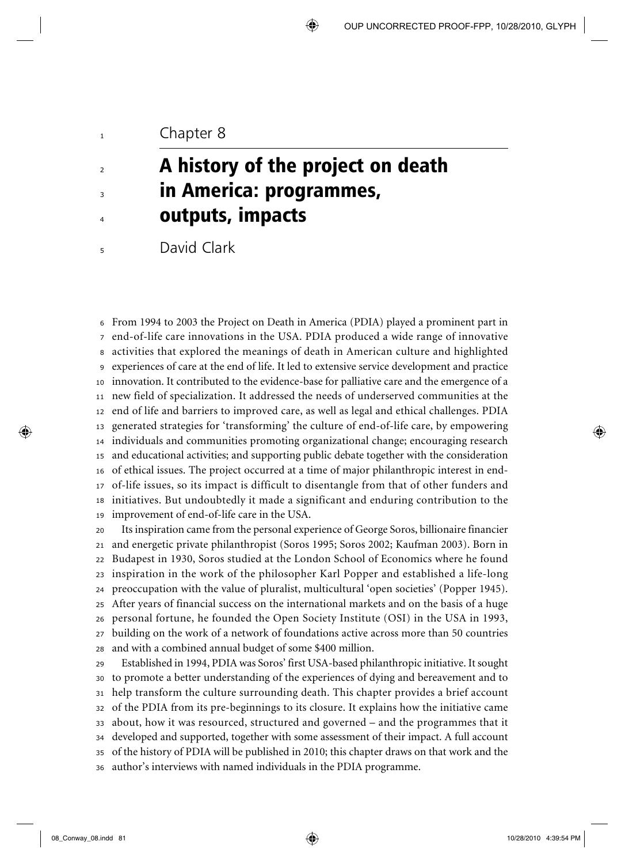## 1 Chapter 8

# A history of the project on death in America: programmes, outputs, impacts

⊕

David Clark

5

⊕

4

3

2

19 18 17 16 15 14 13 12 11 10 9 8 7 6 From 1994 to 2003 the Project on Death in America (PDIA) played a prominent part in end-of-life care innovations in the USA. PDIA produced a wide range of innovative activities that explored the meanings of death in American culture and highlighted experiences of care at the end of life. It led to extensive service development and practice innovation. It contributed to the evidence-base for palliative care and the emergence of a new field of specialization. It addressed the needs of underserved communities at the end of life and barriers to improved care, as well as legal and ethical challenges. PDIA generated strategies for 'transforming' the culture of end-of-life care, by empowering individuals and communities promoting organizational change; encouraging research and educational activities; and supporting public debate together with the consideration of ethical issues. The project occurred at a time of major philanthropic interest in endof-life issues, so its impact is difficult to disentangle from that of other funders and initiatives. But undoubtedly it made a significant and enduring contribution to the improvement of end-of-life care in the USA.

28 27 26 25 24 23 22 21 20 Its inspiration came from the personal experience of George Soros, billionaire financier and energetic private philanthropist (Soros 1995 ; Soros 2002 ; Kaufman 2003 ). Born in Budapest in 1930, Soros studied at the London School of Economics where he found inspiration in the work of the philosopher Karl Popper and established a life-long preoccupation with the value of pluralist, multicultural 'open societies' (Popper 1945 ). After years of financial success on the international markets and on the basis of a huge personal fortune, he founded the Open Society Institute (OSI) in the USA in 1993, building on the work of a network of foundations active across more than 50 countries and with a combined annual budget of some \$400 million.

36 35 34 33 32 31 30  $29$  Established in 1994, PDIA was Soros' first USA-based philanthropic initiative. It sought to promote a better understanding of the experiences of dying and bereavement and to help transform the culture surrounding death. This chapter provides a brief account of the PDIA from its pre-beginnings to its closure. It explains how the initiative came about, how it was resourced, structured and governed – and the programmes that it developed and supported, together with some assessment of their impact. A full account of the history of PDIA will be published in 2010; this chapter draws on that work and the author's interviews with named individuals in the PDIA programme.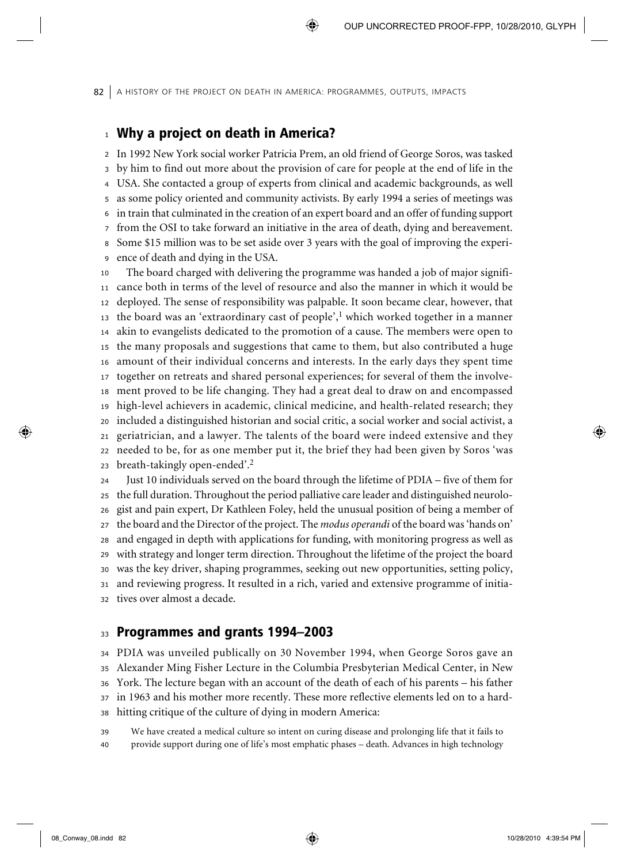## $_1$  Why a project on death in America?

9 8 7 6 5 4 3 2 In 1992 New York social worker Patricia Prem, an old friend of George Soros, was tasked by him to find out more about the provision of care for people at the end of life in the USA. She contacted a group of experts from clinical and academic backgrounds, as well as some policy oriented and community activists. By early 1994 a series of meetings was in train that culminated in the creation of an expert board and an offer of funding support from the OSI to take forward an initiative in the area of death, dying and bereavement. Some \$15 million was to be set aside over 3 years with the goal of improving the experience of death and dying in the USA.

⊕

23 22 21 20 19 18 17 16 15 14 13 12 11 10 The board charged with delivering the programme was handed a job of major significance both in terms of the level of resource and also the manner in which it would be deployed. The sense of responsibility was palpable. It soon became clear, however, that the board was an 'extraordinary cast of people', 1 which worked together in a manner akin to evangelists dedicated to the promotion of a cause. The members were open to the many proposals and suggestions that came to them, but also contributed a huge amount of their individual concerns and interests. In the early days they spent time together on retreats and shared personal experiences; for several of them the involvement proved to be life changing. They had a great deal to draw on and encompassed high-level achievers in academic, clinical medicine, and health-related research; they included a distinguished historian and social critic, a social worker and social activist, a geriatrician, and a lawyer. The talents of the board were indeed extensive and they needed to be, for as one member put it, the brief they had been given by Soros 'was breath-takingly open-ended'.<sup>2</sup>

32 31 30 29 28 27 26 25 24 Just 10 individuals served on the board through the lifetime of PDIA – five of them for the full duration. Throughout the period palliative care leader and distinguished neurologist and pain expert, Dr Kathleen Foley, held the unusual position of being a member of the board and the Director of the project. The *modus operandi* of the board was 'hands on' and engaged in depth with applications for funding, with monitoring progress as well as with strategy and longer term direction. Throughout the lifetime of the project the board was the key driver, shaping programmes, seeking out new opportunities, setting policy, and reviewing progress. It resulted in a rich, varied and extensive programme of initiatives over almost a decade.

#### 33 Programmes and grants 1994–2003

38 37 36 35 34 PDIA was unveiled publically on 30 November 1994, when George Soros gave an Alexander Ming Fisher Lecture in the Columbia Presbyterian Medical Center, in New York. The lecture began with an account of the death of each of his parents – his father in 1963 and his mother more recently. These more reflective elements led on to a hardhitting critique of the culture of dying in modern America:

39 We have created a medical culture so intent on curing disease and prolonging life that it fails to

40 provide support during one of life's most emphatic phases – death. Advances in high technology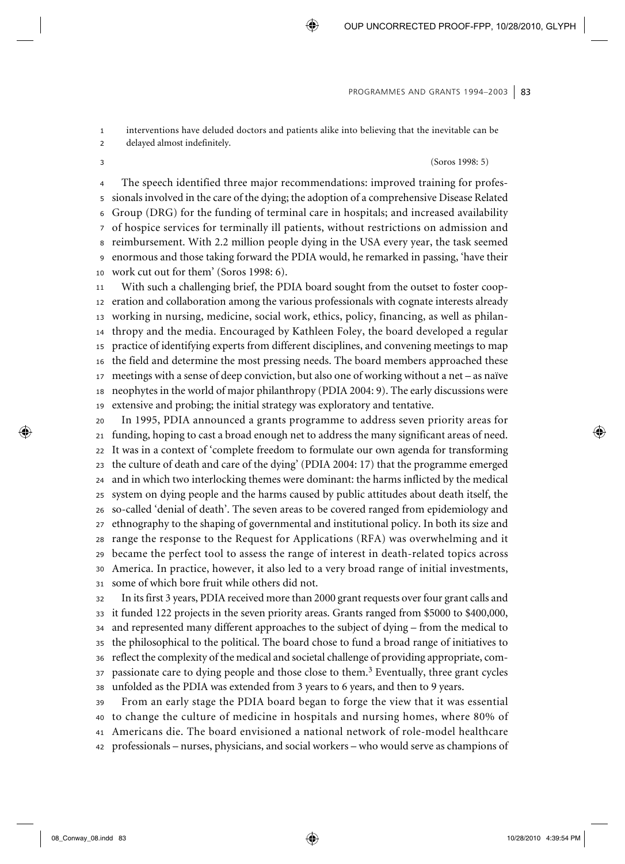PROGRAMMES AND GRANTS 1994-2003  $\vert$  83

⊕

1 interventions have deluded doctors and patients alike into believing that the inevitable can be delayed almost indefinitely.

## $(Soros 1998: 5)$

10 9 8 7 6 5 4 The speech identified three major recommendations: improved training for professionals involved in the care of the dying; the adoption of a comprehensive Disease Related Group (DRG) for the funding of terminal care in hospitals; and increased availability of hospice services for terminally ill patients, without restrictions on admission and reimbursement. With 2.2 million people dying in the USA every year, the task seemed enormous and those taking forward the PDIA would, he remarked in passing, 'have their work cut out for them' (Soros 1998: 6).

19 18 17 16 15 14 13 12 11 With such a challenging brief, the PDIA board sought from the outset to foster cooperation and collaboration among the various professionals with cognate interests already working in nursing, medicine, social work, ethics, policy, financing, as well as philanthropy and the media. Encouraged by Kathleen Foley, the board developed a regular practice of identifying experts from different disciplines, and convening meetings to map the field and determine the most pressing needs. The board members approached these meetings with a sense of deep conviction, but also one of working without a net – as naïve neophytes in the world of major philanthropy (PDIA 2004: 9). The early discussions were extensive and probing; the initial strategy was exploratory and tentative.

31 30 29 28 27 26 25 24 23  $22$ 21  $20$  In 1995, PDIA announced a grants programme to address seven priority areas for funding, hoping to cast a broad enough net to address the many significant areas of need. It was in a context of 'complete freedom to formulate our own agenda for transforming the culture of death and care of the dying' (PDIA 2004: 17) that the programme emerged and in which two interlocking themes were dominant: the harms inflicted by the medical system on dying people and the harms caused by public attitudes about death itself, the so-called 'denial of death'. The seven areas to be covered ranged from epidemiology and ethnography to the shaping of governmental and institutional policy. In both its size and range the response to the Request for Applications (RFA) was overwhelming and it became the perfect tool to assess the range of interest in death-related topics across America. In practice, however, it also led to a very broad range of initial investments, some of which bore fruit while others did not.

38 37 36 35 34 33 32 In its first 3 years, PDIA received more than 2000 grant requests over four grant calls and it funded 122 projects in the seven priority areas. Grants ranged from \$5000 to \$400,000, and represented many different approaches to the subject of dying – from the medical to the philosophical to the political. The board chose to fund a broad range of initiatives to reflect the complexity of the medical and societal challenge of providing appropriate, compassionate care to dying people and those close to them. 3 Eventually, three grant cycles unfolded as the PDIA was extended from 3 years to 6 years, and then to 9 years.

42 41 40 39 From an early stage the PDIA board began to forge the view that it was essential to change the culture of medicine in hospitals and nursing homes, where 80% of Americans die. The board envisioned a national network of role-model healthcare professionals – nurses, physicians, and social workers – who would serve as champions of

3 2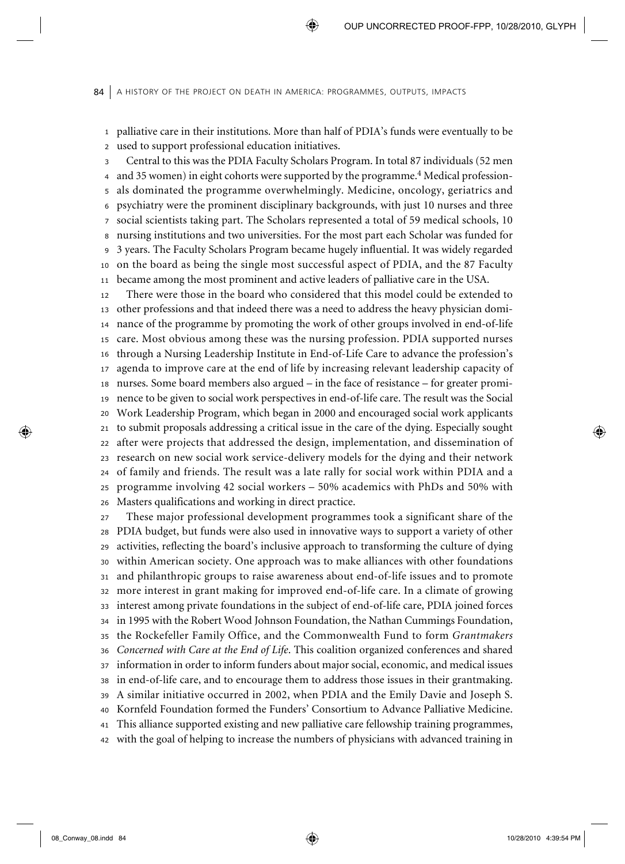2 <sup>1</sup> palliative care in their institutions. More than half of PDIA's funds were eventually to be used to support professional education initiatives.

⊕

11 10 9 8 7 6 5 4 3 Central to this was the PDIA Faculty Scholars Program. In total 87 individuals (52 men and 35 women) in eight cohorts were supported by the programme. 4 Medical professionals dominated the programme overwhelmingly. Medicine, oncology, geriatrics and psychiatry were the prominent disciplinary backgrounds, with just 10 nurses and three social scientists taking part. The Scholars represented a total of 59 medical schools, 10 nursing institutions and two universities. For the most part each Scholar was funded for 3 years. The Faculty Scholars Program became hugely influential. It was widely regarded on the board as being the single most successful aspect of PDIA, and the 87 Faculty became among the most prominent and active leaders of palliative care in the USA.

26 25 24 23 22 21 20 19 18 17 16 15 14 13 12 There were those in the board who considered that this model could be extended to other professions and that indeed there was a need to address the heavy physician dominance of the programme by promoting the work of other groups involved in end-of-life care. Most obvious among these was the nursing profession. PDIA supported nurses through a Nursing Leadership Institute in End-of-Life Care to advance the profession's agenda to improve care at the end of life by increasing relevant leadership capacity of nurses. Some board members also argued – in the face of resistance – for greater prominence to be given to social work perspectives in end-of-life care. The result was the Social Work Leadership Program, which began in 2000 and encouraged social work applicants to submit proposals addressing a critical issue in the care of the dying. Especially sought after were projects that addressed the design, implementation, and dissemination of research on new social work service-delivery models for the dying and their network of family and friends. The result was a late rally for social work within PDIA and a programme involving 42 social workers – 50% academics with PhDs and 50% with Masters qualifications and working in direct practice.

42 41 40 39 38 37 36 35 34 33 32 31 30 29 28 27 These major professional development programmes took a significant share of the PDIA budget, but funds were also used in innovative ways to support a variety of other activities, reflecting the board's inclusive approach to transforming the culture of dying within American society. One approach was to make alliances with other foundations and philanthropic groups to raise awareness about end-of-life issues and to promote more interest in grant making for improved end-of-life care. In a climate of growing interest among private foundations in the subject of end-of-life care, PDIA joined forces in 1995 with the Robert Wood Johnson Foundation, the Nathan Cummings Foundation, the Rockefeller Family Office, and the Commonwealth Fund to form *Grantmakers Concerned with Care at the End of Life* . This coalition organized conferences and shared information in order to inform funders about major social, economic, and medical issues in end-of-life care, and to encourage them to address those issues in their grantmaking. A similar initiative occurred in 2002, when PDIA and the Emily Davie and Joseph S. Kornfeld Foundation formed the Funders' Consortium to Advance Palliative Medicine. This alliance supported existing and new palliative care fellowship training programmes, with the goal of helping to increase the numbers of physicians with advanced training in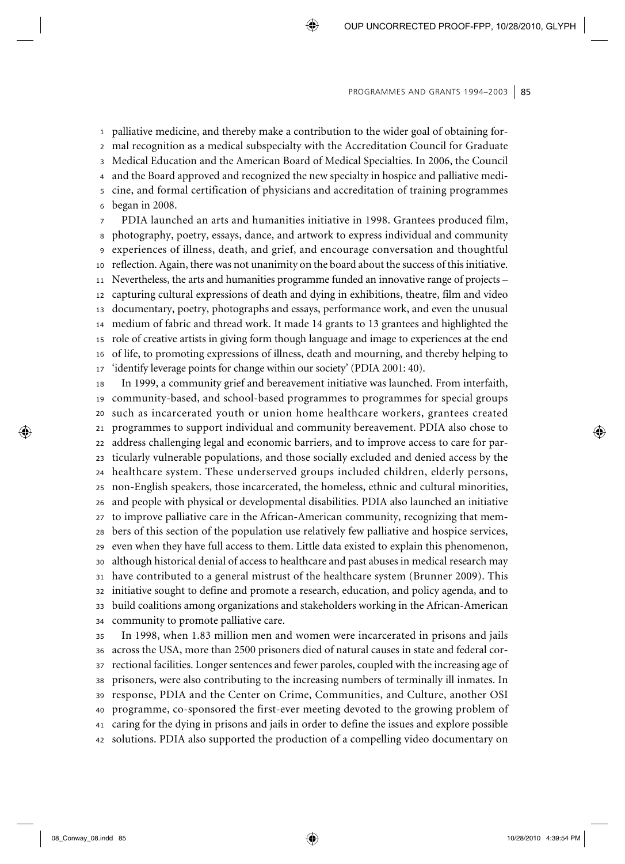PROGRAMMES AND GRANTS 1994-2003  $\vert$  85

6 5 4 3 2 <sup>1</sup> palliative medicine, and thereby make a contribution to the wider goal of obtaining formal recognition as a medical subspecialty with the Accreditation Council for Graduate Medical Education and the American Board of Medical Specialties. In 2006, the Council and the Board approved and recognized the new specialty in hospice and palliative medicine, and formal certification of physicians and accreditation of training programmes began in 2008.

⊕

17 16 15 14 13 12 11 10 9 8 7 PDIA launched an arts and humanities initiative in 1998. Grantees produced film, photography, poetry, essays, dance, and artwork to express individual and community experiences of illness, death, and grief, and encourage conversation and thoughtful reflection. Again, there was not unanimity on the board about the success of this initiative. Nevertheless, the arts and humanities programme funded an innovative range of projects – capturing cultural expressions of death and dying in exhibitions, theatre, film and video documentary, poetry, photographs and essays, performance work, and even the unusual medium of fabric and thread work. It made 14 grants to 13 grantees and highlighted the role of creative artists in giving form though language and image to experiences at the end of life, to promoting expressions of illness, death and mourning, and thereby helping to 'identify leverage points for change within our society' (PDIA 2001: 40).

34 33 32 31 30 29 28 27 26 25 24 23 22 21 20 19 18 In 1999, a community grief and bereavement initiative was launched. From interfaith, community-based, and school-based programmes to programmes for special groups such as incarcerated youth or union home healthcare workers, grantees created programmes to support individual and community bereavement. PDIA also chose to address challenging legal and economic barriers, and to improve access to care for particularly vulnerable populations, and those socially excluded and denied access by the healthcare system. These underserved groups included children, elderly persons, non-English speakers, those incarcerated, the homeless, ethnic and cultural minorities, and people with physical or developmental disabilities. PDIA also launched an initiative to improve palliative care in the African-American community, recognizing that members of this section of the population use relatively few palliative and hospice services, even when they have full access to them. Little data existed to explain this phenomenon, although historical denial of access to healthcare and past abuses in medical research may have contributed to a general mistrust of the healthcare system (Brunner 2009 ). This initiative sought to define and promote a research, education, and policy agenda, and to build coalitions among organizations and stakeholders working in the African-American community to promote palliative care.

42 41 40 39 38 37 36 35 In 1998, when 1.83 million men and women were incarcerated in prisons and jails across the USA, more than 2500 prisoners died of natural causes in state and federal correctional facilities. Longer sentences and fewer paroles, coupled with the increasing age of prisoners, were also contributing to the increasing numbers of terminally ill inmates. In response, PDIA and the Center on Crime, Communities, and Culture, another OSI programme, co-sponsored the first-ever meeting devoted to the growing problem of caring for the dying in prisons and jails in order to define the issues and explore possible solutions. PDIA also supported the production of a compelling video documentary on

⊕

08\_Conway\_08.indd 85 10/28/2010 4:39:54 PM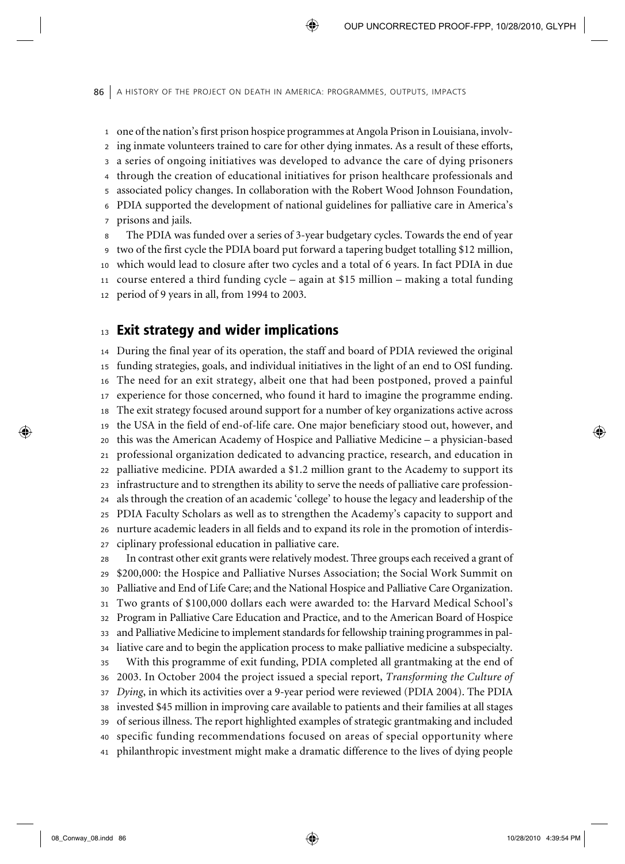7 6 5 4 3 2 <sup>1</sup> one of the nation's first prison hospice programmes at Angola Prison in Louisiana, involving inmate volunteers trained to care for other dying inmates. As a result of these efforts, a series of ongoing initiatives was developed to advance the care of dying prisoners through the creation of educational initiatives for prison healthcare professionals and associated policy changes. In collaboration with the Robert Wood Johnson Foundation, PDIA supported the development of national guidelines for palliative care in America's prisons and jails.

⊕

12 11 10 9 8 The PDIA was funded over a series of 3-year budgetary cycles. Towards the end of year two of the first cycle the PDIA board put forward a tapering budget totalling \$12 million, which would lead to closure after two cycles and a total of 6 years. In fact PDIA in due course entered a third funding cycle – again at \$15 million – making a total funding period of 9 years in all, from 1994 to 2003.

### 13 Exit strategy and wider implications

27 26 25 24  $23$ 22 21 20 19 18 17 16 15 14 During the final year of its operation, the staff and board of PDIA reviewed the original funding strategies, goals, and individual initiatives in the light of an end to OSI funding. The need for an exit strategy, albeit one that had been postponed, proved a painful experience for those concerned, who found it hard to imagine the programme ending. The exit strategy focused around support for a number of key organizations active across the USA in the field of end-of-life care. One major beneficiary stood out, however, and this was the American Academy of Hospice and Palliative Medicine – a physician-based professional organization dedicated to advancing practice, research, and education in palliative medicine. PDIA awarded a \$1.2 million grant to the Academy to support its infrastructure and to strengthen its ability to serve the needs of palliative care professionals through the creation of an academic 'college' to house the legacy and leadership of the PDIA Faculty Scholars as well as to strengthen the Academy's capacity to support and nurture academic leaders in all fields and to expand its role in the promotion of interdisciplinary professional education in palliative care.

41 40 39 38 37 36 35 34 33 32 31 30 29  $28$  In contrast other exit grants were relatively modest. Three groups each received a grant of \$200,000: the Hospice and Palliative Nurses Association; the Social Work Summit on Palliative and End of Life Care; and the National Hospice and Palliative Care Organization. Two grants of \$100,000 dollars each were awarded to: the Harvard Medical School's Program in Palliative Care Education and Practice, and to the American Board of Hospice and Palliative Medicine to implement standards for fellowship training programmes in palliative care and to begin the application process to make palliative medicine a subspecialty. With this programme of exit funding, PDIA completed all grantmaking at the end of 2003. In October 2004 the project issued a special report, *Transforming the Culture of Dying* , in which its activities over a 9-year period were reviewed (PDIA 2004 ). The PDIA invested \$45 million in improving care available to patients and their families at all stages of serious illness. The report highlighted examples of strategic grantmaking and included specific funding recommendations focused on areas of special opportunity where philanthropic investment might make a dramatic difference to the lives of dying people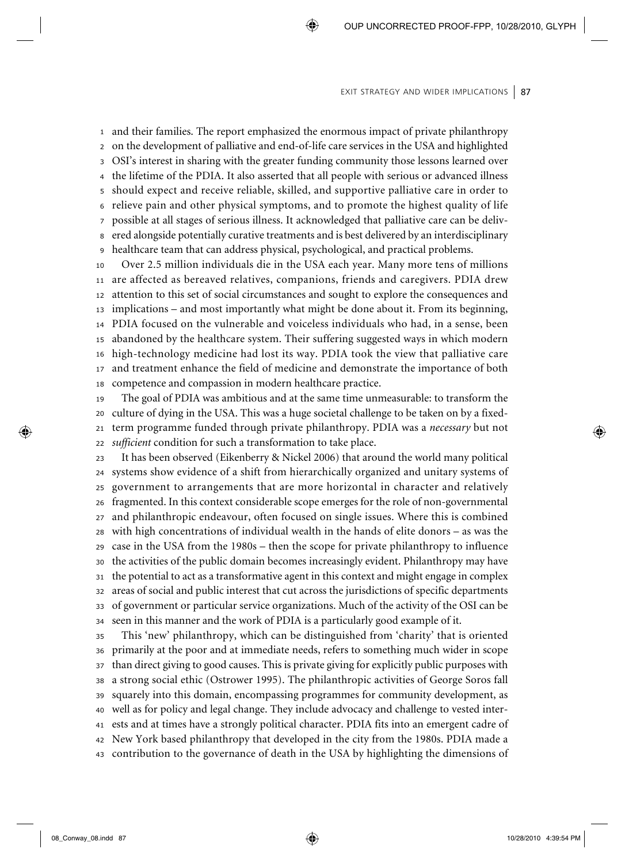## EXIT STRATEGY AND WIDER IMPLICATIONS | 87

 $\overline{q}$ 8 7 6 5 4 3 2 <sup>1</sup> and their families. The report emphasized the enormous impact of private philanthropy on the development of palliative and end-of-life care services in the USA and highlighted OSI's interest in sharing with the greater funding community those lessons learned over the lifetime of the PDIA. It also asserted that all people with serious or advanced illness should expect and receive reliable, skilled, and supportive palliative care in order to relieve pain and other physical symptoms, and to promote the highest quality of life possible at all stages of serious illness. It acknowledged that palliative care can be delivered alongside potentially curative treatments and is best delivered by an interdisciplinary healthcare team that can address physical, psychological, and practical problems.

⊕

18 17 16 15 14 13 12 11 10 Over 2.5 million individuals die in the USA each year. Many more tens of millions are affected as bereaved relatives, companions, friends and caregivers. PDIA drew attention to this set of social circumstances and sought to explore the consequences and implications – and most importantly what might be done about it. From its beginning, PDIA focused on the vulnerable and voiceless individuals who had, in a sense, been abandoned by the healthcare system. Their suffering suggested ways in which modern high-technology medicine had lost its way. PDIA took the view that palliative care and treatment enhance the field of medicine and demonstrate the importance of both competence and compassion in modern healthcare practice.

22 21 20 19 The goal of PDIA was ambitious and at the same time unmeasurable: to transform the culture of dying in the USA. This was a huge societal challenge to be taken on by a fixedterm programme funded through private philanthropy. PDIA was a *necessary* but not *sufficient* condition for such a transformation to take place.

34 33 32 31 30 29 28 27 26 25 24 23 It has been observed (Eikenberry & Nickel 2006 ) that around the world many political systems show evidence of a shift from hierarchically organized and unitary systems of government to arrangements that are more horizontal in character and relatively fragmented. In this context considerable scope emerges for the role of non-governmental and philanthropic endeavour, often focused on single issues. Where this is combined with high concentrations of individual wealth in the hands of elite donors – as was the case in the USA from the 1980s – then the scope for private philanthropy to influence the activities of the public domain becomes increasingly evident. Philanthropy may have the potential to act as a transformative agent in this context and might engage in complex areas of social and public interest that cut across the jurisdictions of specific departments of government or particular service organizations. Much of the activity of the OSI can be seen in this manner and the work of PDIA is a particularly good example of it.

43 42 41 40 39 38 37 36 35 This 'new' philanthropy, which can be distinguished from 'charity' that is oriented primarily at the poor and at immediate needs, refers to something much wider in scope than direct giving to good causes. This is private giving for explicitly public purposes with a strong social ethic (Ostrower 1995 ). The philanthropic activities of George Soros fall squarely into this domain, encompassing programmes for community development, as well as for policy and legal change. They include advocacy and challenge to vested interests and at times have a strongly political character. PDIA fits into an emergent cadre of New York based philanthropy that developed in the city from the 1980s. PDIA made a contribution to the governance of death in the USA by highlighting the dimensions of